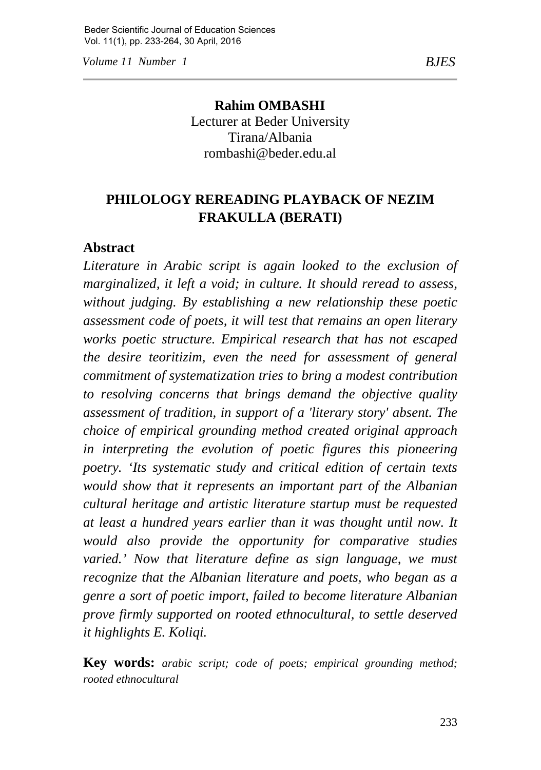*Volume 11 Number 1 BJES*

**Rahim OMBASHI** Lecturer at Beder University Tirana/Albania rombashi@beder.edu.al

# **PHILOLOGY REREADING PLAYBACK OF NEZIM FRAKULLA (BERATI)**

#### **Abstract**

*Literature in Arabic script is again looked to the exclusion of marginalized, it left a void; in culture. It should reread to assess, without judging. By establishing a new relationship these poetic assessment code of poets, it will test that remains an open literary works poetic structure. Empirical research that has not escaped the desire teoritizim, even the need for assessment of general commitment of systematization tries to bring a modest contribution to resolving concerns that brings demand the objective quality assessment of tradition, in support of a 'literary story' absent. The choice of empirical grounding method created original approach in interpreting the evolution of poetic figures this pioneering poetry. 'Its systematic study and critical edition of certain texts would show that it represents an important part of the Albanian cultural heritage and artistic literature startup must be requested at least a hundred years earlier than it was thought until now. It would also provide the opportunity for comparative studies varied.' Now that literature define as sign language, we must recognize that the Albanian literature and poets, who began as a genre a sort of poetic import, failed to become literature Albanian prove firmly supported on rooted ethnocultural, to settle deserved it highlights E. Koliqi.*

**Key words:** *arabic script; code of poets; empirical grounding method; rooted ethnocultural*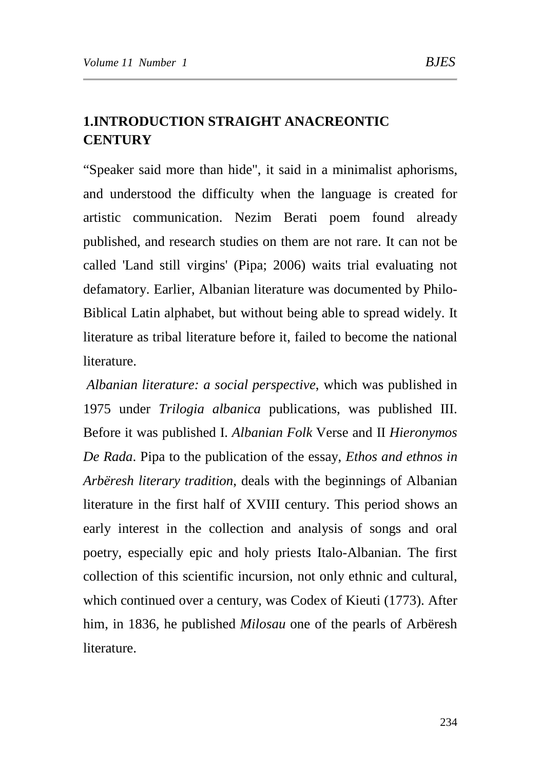## **1.INTRODUCTION STRAIGHT ANACREONTIC CENTURY**

"Speaker said more than hide", it said in a minimalist aphorisms, and understood the difficulty when the language is created for artistic communication. Nezim Berati poem found already published, and research studies on them are not rare. It can not be called 'Land still virgins' (Pipa; 2006) waits trial evaluating not defamatory. Earlier, Albanian literature was documented by Philo-Biblical Latin alphabet, but without being able to spread widely. It literature as tribal literature before it, failed to become the national literature.

*Albanian literature: a social perspective*, which was published in 1975 under *Trilogia albanica* publications, was published III. Before it was published I. *Albanian Folk* Verse and II *Hieronymos De Rada*. Pipa to the publication of the essay, *Ethos and ethnos in Arbëresh literary tradition*, deals with the beginnings of Albanian literature in the first half of XVIII century. This period shows an early interest in the collection and analysis of songs and oral poetry, especially epic and holy priests Italo-Albanian. The first collection of this scientific incursion, not only ethnic and cultural, which continued over a century, was Codex of Kieuti (1773). After him, in 1836, he published *Milosau* one of the pearls of Arbëresh literature.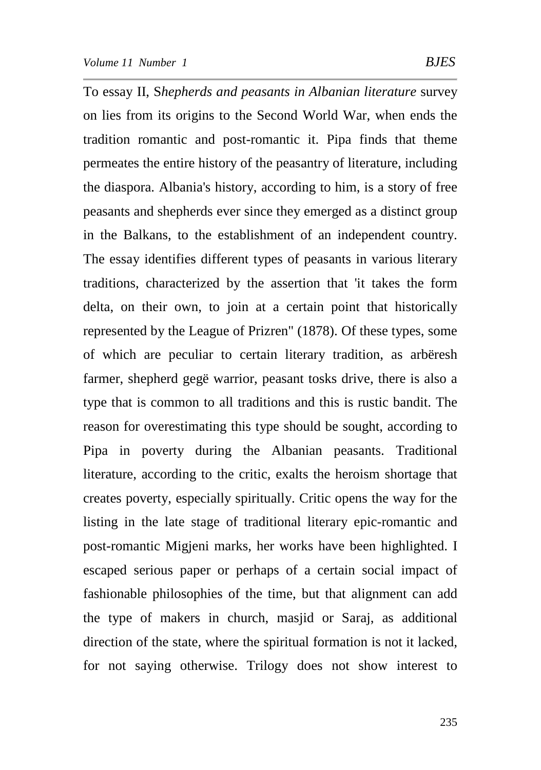To essay II, S*hepherds and peasants in Albanian literature* survey on lies from its origins to the Second World War, when ends the tradition romantic and post-romantic it. Pipa finds that theme permeates the entire history of the peasantry of literature, including the diaspora. Albania's history, according to him, is a story of free peasants and shepherds ever since they emerged as a distinct group in the Balkans, to the establishment of an independent country. The essay identifies different types of peasants in various literary traditions, characterized by the assertion that 'it takes the form delta, on their own, to join at a certain point that historically represented by the League of Prizren" (1878). Of these types, some of which are peculiar to certain literary tradition, as arbëresh farmer, shepherd gegë warrior, peasant tosks drive, there is also a type that is common to all traditions and this is rustic bandit. The reason for overestimating this type should be sought, according to Pipa in poverty during the Albanian peasants. Traditional literature, according to the critic, exalts the heroism shortage that creates poverty, especially spiritually. Critic opens the way for the listing in the late stage of traditional literary epic-romantic and post-romantic Migjeni marks, her works have been highlighted. I escaped serious paper or perhaps of a certain social impact of fashionable philosophies of the time, but that alignment can add the type of makers in church, masjid or Saraj, as additional direction of the state, where the spiritual formation is not it lacked, for not saying otherwise. Trilogy does not show interest to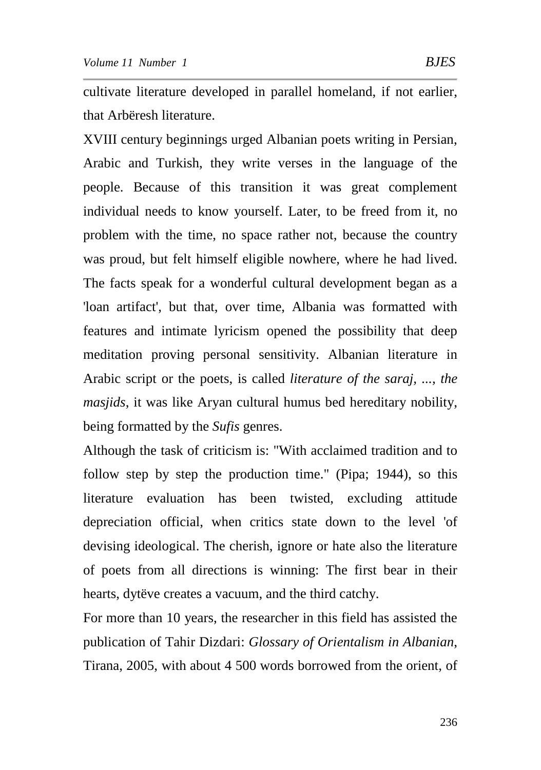cultivate literature developed in parallel homeland, if not earlier, that Arbëresh literature.

XVIII century beginnings urged Albanian poets writing in Persian, Arabic and Turkish, they write verses in the language of the people. Because of this transition it was great complement individual needs to know yourself. Later, to be freed from it, no problem with the time, no space rather not, because the country was proud, but felt himself eligible nowhere, where he had lived. The facts speak for a wonderful cultural development began as a 'loan artifact', but that, over time, Albania was formatted with features and intimate lyricism opened the possibility that deep meditation proving personal sensitivity. Albanian literature in Arabic script or the poets, is called *literature of the saraj, ..., the masjids*, it was like Aryan cultural humus bed hereditary nobility, being formatted by the *Sufis* genres.

Although the task of criticism is: "With acclaimed tradition and to follow step by step the production time." (Pipa; 1944), so this literature evaluation has been twisted, excluding attitude depreciation official, when critics state down to the level 'of devising ideological. The cherish, ignore or hate also the literature of poets from all directions is winning: The first bear in their hearts, dytëve creates a vacuum, and the third catchy.

For more than 10 years, the researcher in this field has assisted the publication of Tahir Dizdari: *Glossary of Orientalism in Albanian*, Tirana, 2005, with about 4 500 words borrowed from the orient, of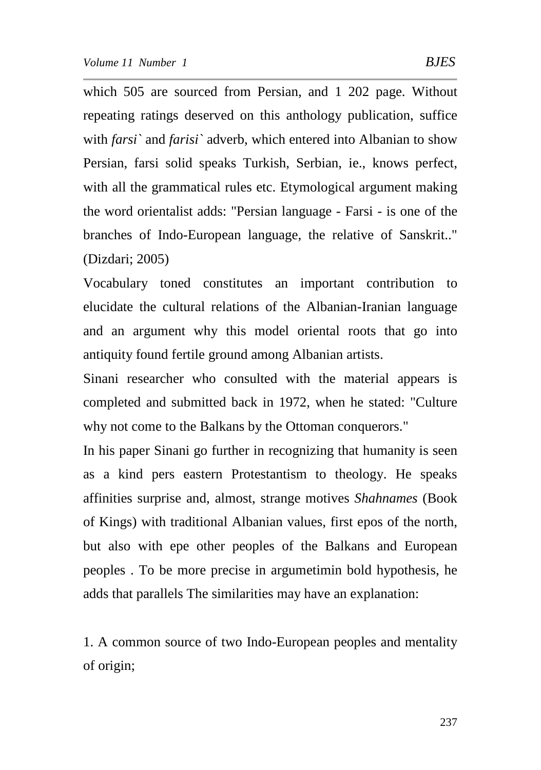which 505 are sourced from Persian, and 1 202 page. Without repeating ratings deserved on this anthology publication, suffice with *farsi`* and *farisi`* adverb, which entered into Albanian to show

Persian, farsi solid speaks Turkish, Serbian, ie., knows perfect, with all the grammatical rules etc. Etymological argument making the word orientalist adds: "Persian language - Farsi - is one of the branches of Indo-European language, the relative of Sanskrit.." (Dizdari; 2005)

Vocabulary toned constitutes an important contribution to elucidate the cultural relations of the Albanian-Iranian language and an argument why this model oriental roots that go into antiquity found fertile ground among Albanian artists.

Sinani researcher who consulted with the material appears is completed and submitted back in 1972, when he stated: "Culture why not come to the Balkans by the Ottoman conquerors."

In his paper Sinani go further in recognizing that humanity is seen as a kind pers eastern Protestantism to theology. He speaks affinities surprise and, almost, strange motives *Shahnames* (Book of Kings) with traditional Albanian values, first epos of the north, but also with epe other peoples of the Balkans and European peoples . To be more precise in argumetimin bold hypothesis, he adds that parallels The similarities may have an explanation:

1. A common source of two Indo-European peoples and mentality of origin;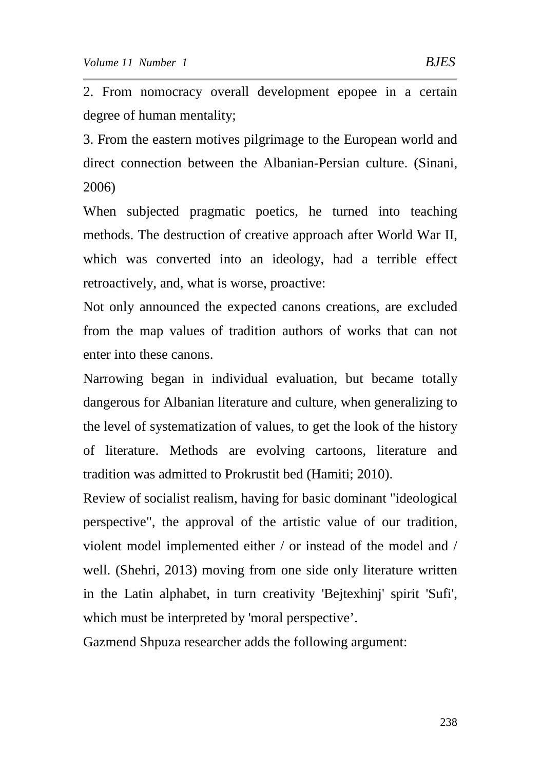2. From nomocracy overall development epopee in a certain degree of human mentality;

3. From the eastern motives pilgrimage to the European world and direct connection between the Albanian-Persian culture. (Sinani, 2006)

When subjected pragmatic poetics, he turned into teaching methods. The destruction of creative approach after World War II, which was converted into an ideology, had a terrible effect retroactively, and, what is worse, proactive:

Not only announced the expected canons creations, are excluded from the map values of tradition authors of works that can not enter into these canons.

Narrowing began in individual evaluation, but became totally dangerous for Albanian literature and culture, when generalizing to the level of systematization of values, to get the look of the history of literature. Methods are evolving cartoons, literature and tradition was admitted to Prokrustit bed (Hamiti; 2010).

Review of socialist realism, having for basic dominant "ideological perspective", the approval of the artistic value of our tradition, violent model implemented either / or instead of the model and / well. (Shehri, 2013) moving from one side only literature written in the Latin alphabet, in turn creativity 'Bejtexhinj' spirit 'Sufi', which must be interpreted by 'moral perspective'.

Gazmend Shpuza researcher adds the following argument: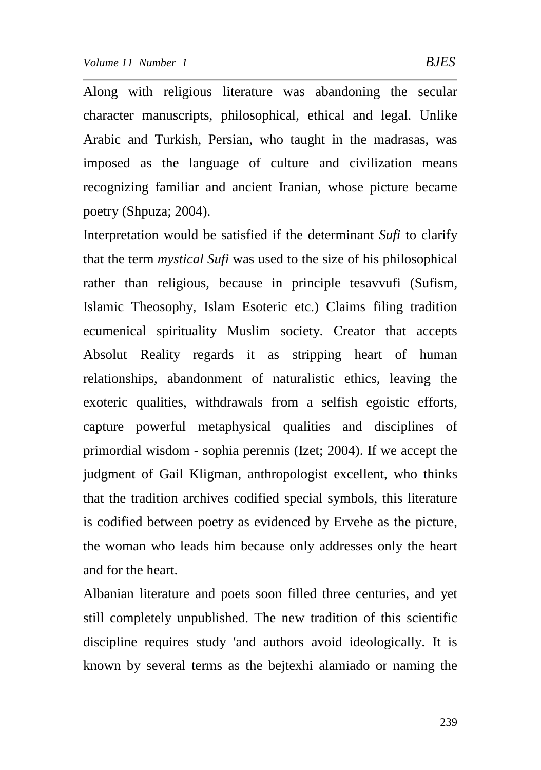Along with religious literature was abandoning the secular character manuscripts, philosophical, ethical and legal. Unlike Arabic and Turkish, Persian, who taught in the madrasas, was imposed as the language of culture and civilization means recognizing familiar and ancient Iranian, whose picture became poetry (Shpuza; 2004).

Interpretation would be satisfied if the determinant *Sufi* to clarify that the term *mystical Sufi* was used to the size of his philosophical rather than religious, because in principle tesavvufi (Sufism, Islamic Theosophy, Islam Esoteric etc.) Claims filing tradition ecumenical spirituality Muslim society. Creator that accepts Absolut Reality regards it as stripping heart of human relationships, abandonment of naturalistic ethics, leaving the exoteric qualities, withdrawals from a selfish egoistic efforts, capture powerful metaphysical qualities and disciplines of primordial wisdom - sophia perennis (Izet; 2004). If we accept the judgment of Gail Kligman, anthropologist excellent, who thinks that the tradition archives codified special symbols, this literature is codified between poetry as evidenced by Ervehe as the picture, the woman who leads him because only addresses only the heart and for the heart.

Albanian literature and poets soon filled three centuries, and yet still completely unpublished. The new tradition of this scientific discipline requires study 'and authors avoid ideologically. It is known by several terms as the bejtexhi alamiado or naming the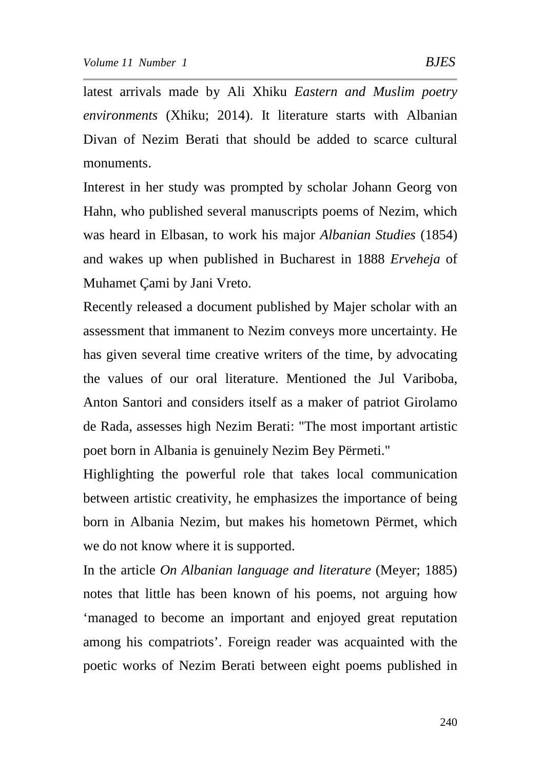latest arrivals made by Ali Xhiku *Eastern and Muslim poetry environments* (Xhiku; 2014). It literature starts with Albanian Divan of Nezim Berati that should be added to scarce cultural monuments.

Interest in her study was prompted by scholar Johann Georg von Hahn, who published several manuscripts poems of Nezim, which was heard in Elbasan, to work his major *Albanian Studies* (1854) and wakes up when published in Bucharest in 1888 *Erveheja* of Muhamet Çami by Jani Vreto.

Recently released a document published by Majer scholar with an assessment that immanent to Nezim conveys more uncertainty. He has given several time creative writers of the time, by advocating the values of our oral literature. Mentioned the Jul Variboba, Anton Santori and considers itself as a maker of patriot Girolamo de Rada, assesses high Nezim Berati: "The most important artistic poet born in Albania is genuinely Nezim Bey Përmeti."

Highlighting the powerful role that takes local communication between artistic creativity, he emphasizes the importance of being born in Albania Nezim, but makes his hometown Përmet, which we do not know where it is supported.

In the article *On Albanian language and literature* (Meyer; 1885) notes that little has been known of his poems, not arguing how 'managed to become an important and enjoyed great reputation among his compatriots'. Foreign reader was acquainted with the poetic works of Nezim Berati between eight poems published in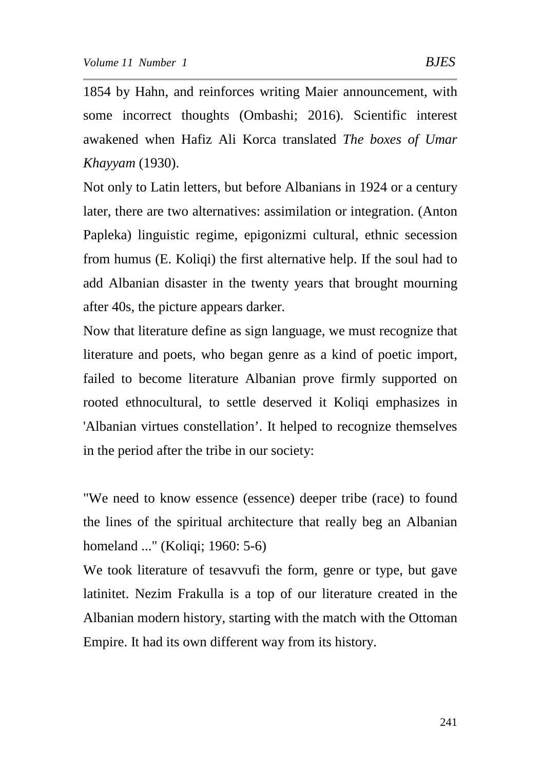1854 by Hahn, and reinforces writing Maier announcement, with some incorrect thoughts (Ombashi; 2016). Scientific interest awakened when Hafiz Ali Korca translated *The boxes of Umar Khayyam* (1930).

Not only to Latin letters, but before Albanians in 1924 or a century later, there are two alternatives: assimilation or integration. (Anton Papleka) linguistic regime, epigonizmi cultural, ethnic secession from humus (E. Koliqi) the first alternative help. If the soul had to add Albanian disaster in the twenty years that brought mourning after 40s, the picture appears darker.

Now that literature define as sign language, we must recognize that literature and poets, who began genre as a kind of poetic import, failed to become literature Albanian prove firmly supported on rooted ethnocultural, to settle deserved it Koliqi emphasizes in 'Albanian virtues constellation'. It helped to recognize themselves in the period after the tribe in our society:

"We need to know essence (essence) deeper tribe (race) to found the lines of the spiritual architecture that really beg an Albanian homeland ..." (Koliqi; 1960: 5-6)

We took literature of tesavvufi the form, genre or type, but gave latinitet. Nezim Frakulla is a top of our literature created in the Albanian modern history, starting with the match with the Ottoman Empire. It had its own different way from its history.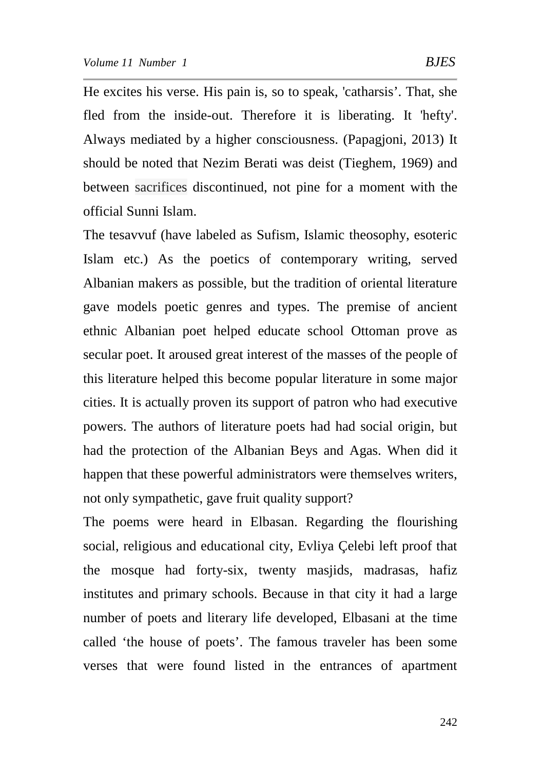He excites his verse. His pain is, so to speak, 'catharsis'. That, she fled from the inside-out. Therefore it is liberating. It 'hefty'. Always mediated by a higher consciousness. (Papagjoni, 2013) It should be noted that Nezim Berati was deist (Tieghem, 1969) and between sacrifices discontinued, not pine for a moment with the official Sunni Islam.

The tesavvuf (have labeled as Sufism, Islamic theosophy, esoteric Islam etc.) As the poetics of contemporary writing, served Albanian makers as possible, but the tradition of oriental literature gave models poetic genres and types. The premise of ancient ethnic Albanian poet helped educate school Ottoman prove as secular poet. It aroused great interest of the masses of the people of this literature helped this become popular literature in some major cities. It is actually proven its support of patron who had executive powers. The authors of literature poets had had social origin, but had the protection of the Albanian Beys and Agas. When did it happen that these powerful administrators were themselves writers, not only sympathetic, gave fruit quality support?

The poems were heard in Elbasan. Regarding the flourishing social, religious and educational city, Evliya Çelebi left proof that the mosque had forty-six, twenty masjids, madrasas, hafiz institutes and primary schools. Because in that city it had a large number of poets and literary life developed, Elbasani at the time called 'the house of poets'. The famous traveler has been some verses that were found listed in the entrances of apartment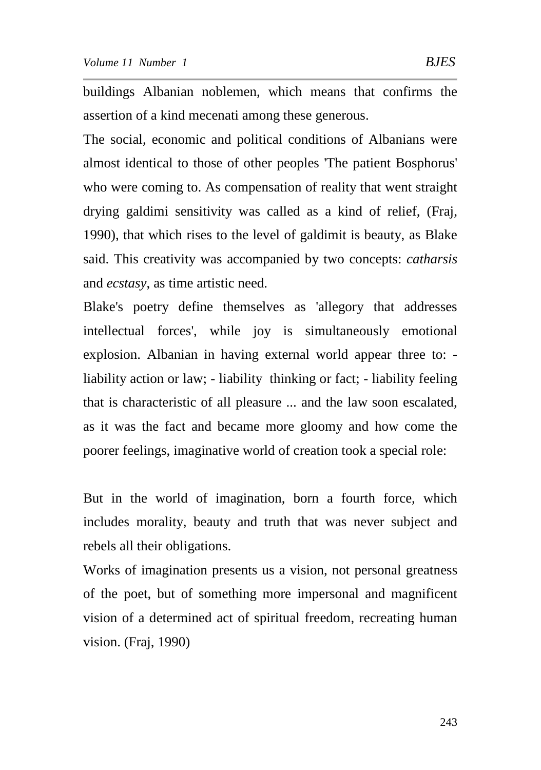buildings Albanian noblemen, which means that confirms the assertion of a kind mecenati among these generous.

The social, economic and political conditions of Albanians were almost identical to those of other peoples 'The patient Bosphorus' who were coming to. As compensation of reality that went straight drying galdimi sensitivity was called as a kind of relief, (Fraj, 1990), that which rises to the level of galdimit is beauty, as Blake said. This creativity was accompanied by two concepts: *catharsis* and *ecstasy*, as time artistic need.

Blake's poetry define themselves as 'allegory that addresses intellectual forces', while joy is simultaneously emotional explosion. Albanian in having external world appear three to: liability action or law; - liability thinking or fact; - liability feeling that is characteristic of all pleasure ... and the law soon escalated, as it was the fact and became more gloomy and how come the poorer feelings, imaginative world of creation took a special role:

But in the world of imagination, born a fourth force, which includes morality, beauty and truth that was never subject and rebels all their obligations.

Works of imagination presents us a vision, not personal greatness of the poet, but of something more impersonal and magnificent vision of a determined act of spiritual freedom, recreating human vision. (Fraj, 1990)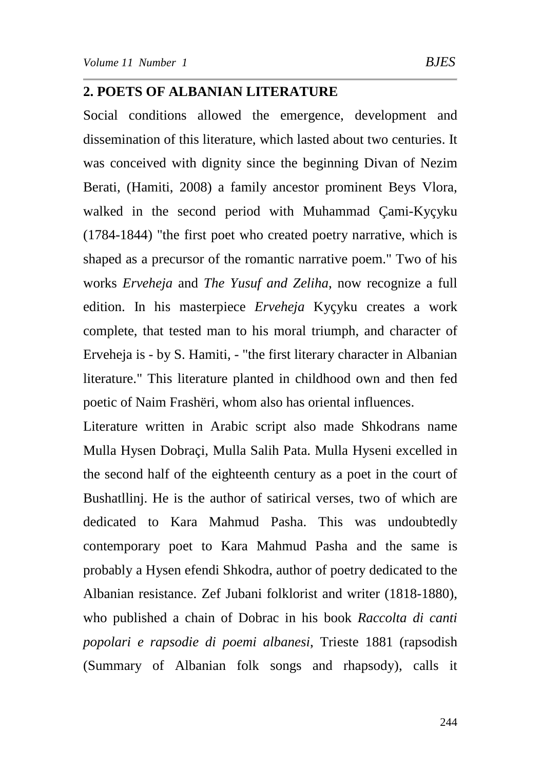### **2. POETS OF ALBANIAN LITERATURE**

Social conditions allowed the emergence, development and dissemination of this literature, which lasted about two centuries. It was conceived with dignity since the beginning Divan of Nezim Berati, (Hamiti, 2008) a family ancestor prominent Beys Vlora, walked in the second period with Muhammad Çami-Kyçyku (1784-1844) "the first poet who created poetry narrative, which is shaped as a precursor of the romantic narrative poem." Two of his works *Erveheja* and *The Yusuf and Zeliha*, now recognize a full edition. In his masterpiece *Erveheja* Kyçyku creates a work complete, that tested man to his moral triumph, and character of Erveheja is - by S. Hamiti, - "the first literary character in Albanian literature." This literature planted in childhood own and then fed poetic of Naim Frashëri, whom also has oriental influences.

Literature written in Arabic script also made Shkodrans name Mulla Hysen Dobraçi, Mulla Salih Pata. Mulla Hyseni excelled in the second half of the eighteenth century as a poet in the court of Bushatllinj. He is the author of satirical verses, two of which are dedicated to Kara Mahmud Pasha. This was undoubtedly contemporary poet to Kara Mahmud Pasha and the same is probably a Hysen efendi Shkodra, author of poetry dedicated to the Albanian resistance. Zef Jubani folklorist and writer (1818-1880), who published a chain of Dobrac in his book *Raccolta di canti popolari e rapsodie di poemi albanesi*, Trieste 1881 (rapsodish (Summary of Albanian folk songs and rhapsody), calls it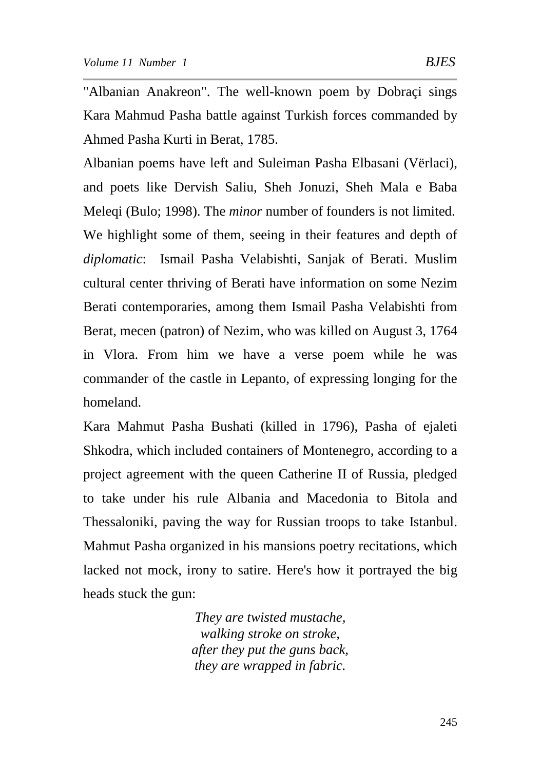"Albanian Anakreon". The well-known poem by Dobraçi sings Kara Mahmud Pasha battle against Turkish forces commanded by Ahmed Pasha Kurti in Berat, 1785.

Albanian poems have left and Suleiman Pasha Elbasani (Vërlaci), and poets like Dervish Saliu, Sheh Jonuzi, Sheh Mala e Baba Meleqi (Bulo; 1998). The *minor* number of founders is not limited. We highlight some of them, seeing in their features and depth of *diplomatic*: Ismail Pasha Velabishti, Sanjak of Berati. Muslim cultural center thriving of Berati have information on some Nezim Berati contemporaries, among them Ismail Pasha Velabishti from Berat, mecen (patron) of Nezim, who was killed on August 3, 1764 in Vlora. From him we have a verse poem while he was commander of the castle in Lepanto, of expressing longing for the homeland.

Kara Mahmut Pasha Bushati (killed in 1796), Pasha of ejaleti Shkodra, which included containers of Montenegro, according to a project agreement with the queen Catherine II of Russia, pledged to take under his rule Albania and Macedonia to Bitola and Thessaloniki, paving the way for Russian troops to take Istanbul. Mahmut Pasha organized in his mansions poetry recitations, which lacked not mock, irony to satire. Here's how it portrayed the big heads stuck the gun:

> *They are twisted mustache, walking stroke on stroke, after they put the guns back, they are wrapped in fabric.*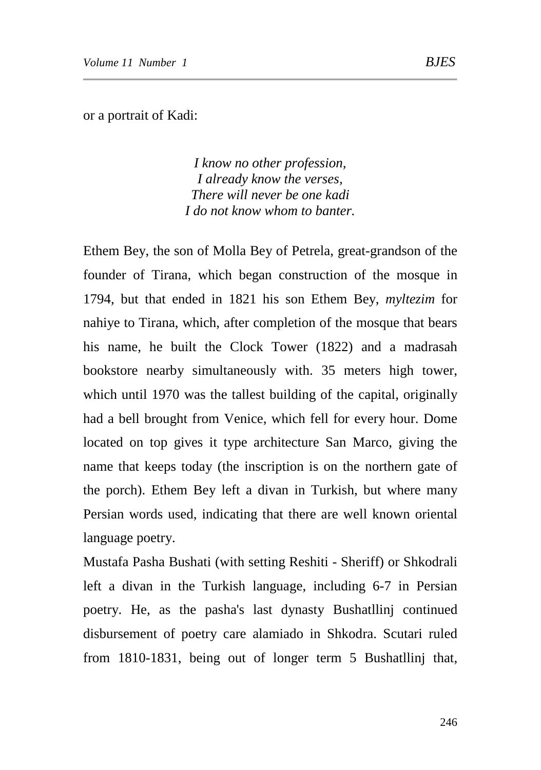or a portrait of Kadi:

*I know no other profession, I already know the verses, There will never be one kadi I do not know whom to banter.*

Ethem Bey, the son of Molla Bey of Petrela, great-grandson of the founder of Tirana, which began construction of the mosque in 1794, but that ended in 1821 his son Ethem Bey, *myltezim* for nahiye to Tirana, which, after completion of the mosque that bears his name, he built the Clock Tower (1822) and a madrasah bookstore nearby simultaneously with. 35 meters high tower, which until 1970 was the tallest building of the capital, originally had a bell brought from Venice, which fell for every hour. Dome located on top gives it type architecture San Marco, giving the name that keeps today (the inscription is on the northern gate of the porch). Ethem Bey left a divan in Turkish, but where many Persian words used, indicating that there are well known oriental language poetry.

Mustafa Pasha Bushati (with setting Reshiti - Sheriff) or Shkodrali left a divan in the Turkish language, including 6-7 in Persian poetry. He, as the pasha's last dynasty Bushatllinj continued disbursement of poetry care alamiado in Shkodra. Scutari ruled from 1810-1831, being out of longer term 5 Bushatllinj that,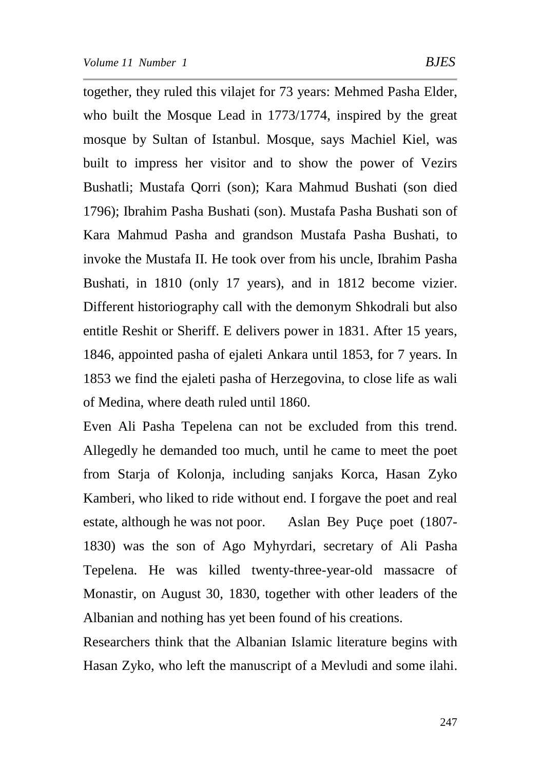together, they ruled this vilajet for 73 years: Mehmed Pasha Elder, who built the Mosque Lead in 1773/1774, inspired by the great mosque by Sultan of Istanbul. Mosque, says Machiel Kiel, was built to impress her visitor and to show the power of Vezirs Bushatli; Mustafa Qorri (son); Kara Mahmud Bushati (son died 1796); Ibrahim Pasha Bushati (son). Mustafa Pasha Bushati son of Kara Mahmud Pasha and grandson Mustafa Pasha Bushati, to invoke the Mustafa II. He took over from his uncle, Ibrahim Pasha Bushati, in 1810 (only 17 years), and in 1812 become vizier. Different historiography call with the demonym Shkodrali but also entitle Reshit or Sheriff. E delivers power in 1831. After 15 years, 1846, appointed pasha of ejaleti Ankara until 1853, for 7 years. In 1853 we find the ejaleti pasha of Herzegovina, to close life as wali of Medina, where death ruled until 1860.

Even Ali Pasha Tepelena can not be excluded from this trend. Allegedly he demanded too much, until he came to meet the poet from Starja of Kolonja, including sanjaks Korca, Hasan Zyko Kamberi, who liked to ride without end. I forgave the poet and real estate, although he was not poor. Aslan Bey Puçe poet (1807- 1830) was the son of Ago Myhyrdari, secretary of Ali Pasha Tepelena. He was killed twenty-three-year-old massacre of Monastir, on August 30, 1830, together with other leaders of the Albanian and nothing has yet been found of his creations.

Researchers think that the Albanian Islamic literature begins with Hasan Zyko, who left the manuscript of a Mevludi and some ilahi.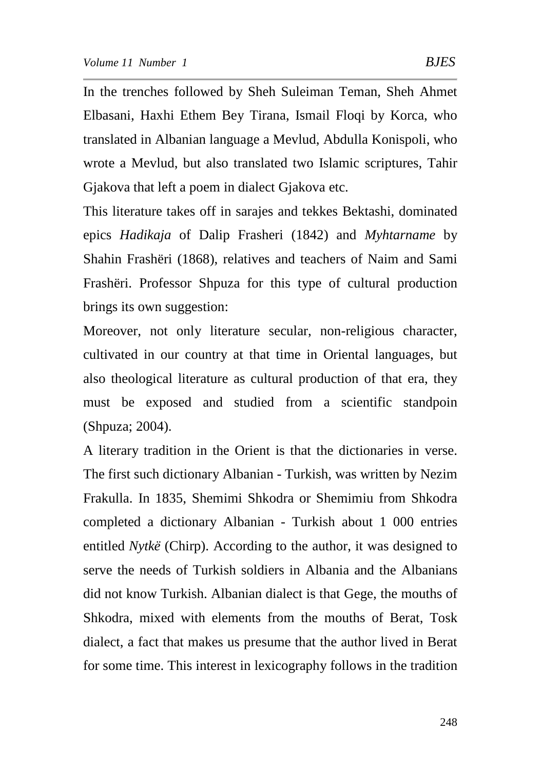In the trenches followed by Sheh Suleiman Teman, Sheh Ahmet Elbasani, Haxhi Ethem Bey Tirana, Ismail Floqi by Korca, who translated in Albanian language a Mevlud, Abdulla Konispoli, who wrote a Mevlud, but also translated two Islamic scriptures, Tahir Gjakova that left a poem in dialect Gjakova etc.

This literature takes off in sarajes and tekkes Bektashi, dominated epics *Hadikaja* of Dalip Frasheri (1842) and *Myhtarname* by Shahin Frashëri (1868), relatives and teachers of Naim and Sami Frashëri. Professor Shpuza for this type of cultural production brings its own suggestion:

Moreover, not only literature secular, non-religious character, cultivated in our country at that time in Oriental languages, but also theological literature as cultural production of that era, they must be exposed and studied from a scientific standpoin (Shpuza; 2004).

A literary tradition in the Orient is that the dictionaries in verse. The first such dictionary Albanian - Turkish, was written by Nezim Frakulla. In 1835, Shemimi Shkodra or Shemimiu from Shkodra completed a dictionary Albanian - Turkish about 1 000 entries entitled *Nytkë* (Chirp). According to the author, it was designed to serve the needs of Turkish soldiers in Albania and the Albanians did not know Turkish. Albanian dialect is that Gege, the mouths of Shkodra, mixed with elements from the mouths of Berat, Tosk dialect, a fact that makes us presume that the author lived in Berat for some time. This interest in lexicography follows in the tradition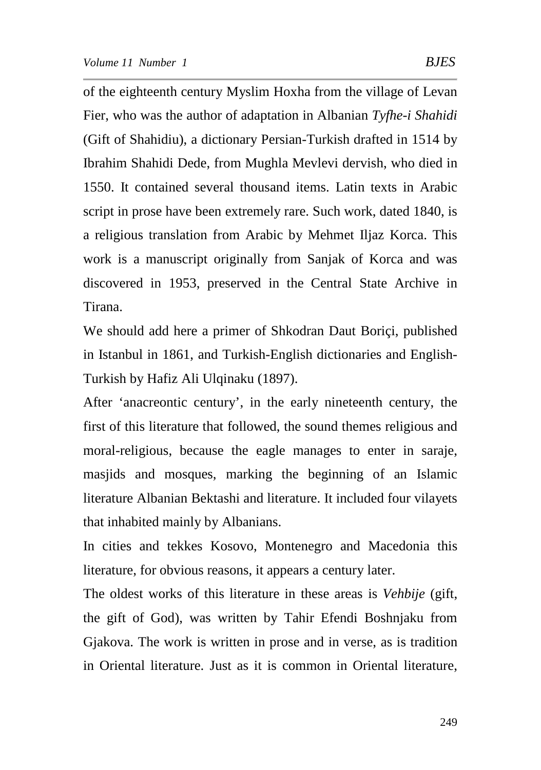of the eighteenth century Myslim Hoxha from the village of Levan Fier, who was the author of adaptation in Albanian *Tyfhe-i Shahidi* (Gift of Shahidiu), a dictionary Persian-Turkish drafted in 1514 by Ibrahim Shahidi Dede, from Mughla Mevlevi dervish, who died in 1550. It contained several thousand items. Latin texts in Arabic script in prose have been extremely rare. Such work, dated 1840, is a religious translation from Arabic by Mehmet Iljaz Korca. This work is a manuscript originally from Sanjak of Korca and was discovered in 1953, preserved in the Central State Archive in Tirana.

We should add here a primer of Shkodran Daut Boriçi, published in Istanbul in 1861, and Turkish-English dictionaries and English-Turkish by Hafiz Ali Ulqinaku (1897).

After 'anacreontic century', in the early nineteenth century, the first of this literature that followed, the sound themes religious and moral-religious, because the eagle manages to enter in saraje, masjids and mosques, marking the beginning of an Islamic literature Albanian Bektashi and literature. It included four vilayets that inhabited mainly by Albanians.

In cities and tekkes Kosovo, Montenegro and Macedonia this literature, for obvious reasons, it appears a century later.

The oldest works of this literature in these areas is *Vehbije* (gift, the gift of God), was written by Tahir Efendi Boshnjaku from Gjakova. The work is written in prose and in verse, as is tradition in Oriental literature. Just as it is common in Oriental literature,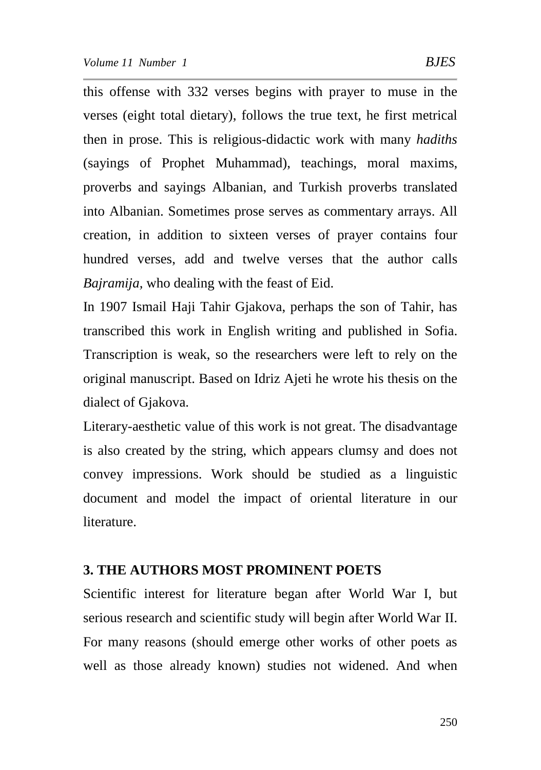this offense with 332 verses begins with prayer to muse in the verses (eight total dietary), follows the true text, he first metrical then in prose. This is religious-didactic work with many *hadiths* (sayings of Prophet Muhammad), teachings, moral maxims, proverbs and sayings Albanian, and Turkish proverbs translated into Albanian. Sometimes prose serves as commentary arrays. All creation, in addition to sixteen verses of prayer contains four hundred verses, add and twelve verses that the author calls *Bajramija,* who dealing with the feast of Eid.

In 1907 Ismail Haji Tahir Gjakova, perhaps the son of Tahir, has transcribed this work in English writing and published in Sofia. Transcription is weak, so the researchers were left to rely on the original manuscript. Based on Idriz Ajeti he wrote his thesis on the dialect of Gjakova.

Literary-aesthetic value of this work is not great. The disadvantage is also created by the string, which appears clumsy and does not convey impressions. Work should be studied as a linguistic document and model the impact of oriental literature in our literature.

### **3. THE AUTHORS MOST PROMINENT POETS**

Scientific interest for literature began after World War I, but serious research and scientific study will begin after World War II. For many reasons (should emerge other works of other poets as well as those already known) studies not widened. And when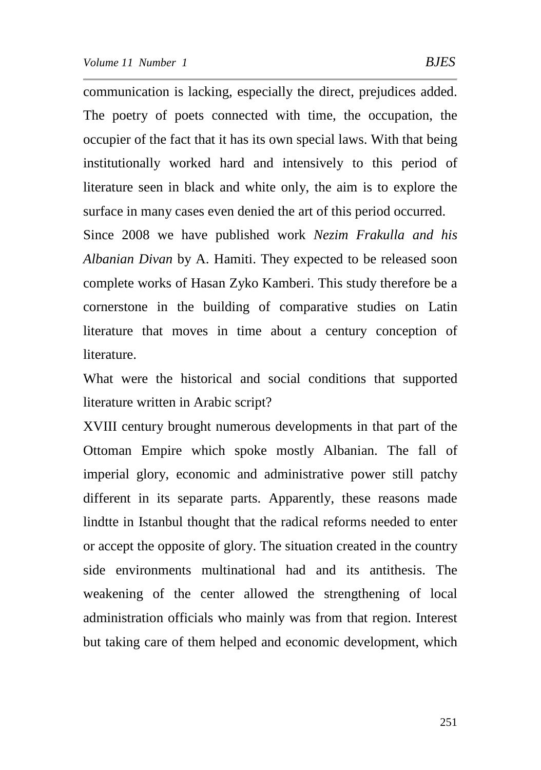communication is lacking, especially the direct, prejudices added. The poetry of poets connected with time, the occupation, the occupier of the fact that it has its own special laws. With that being institutionally worked hard and intensively to this period of literature seen in black and white only, the aim is to explore the surface in many cases even denied the art of this period occurred.

Since 2008 we have published work *Nezim Frakulla and his Albanian Divan* by A. Hamiti. They expected to be released soon complete works of Hasan Zyko Kamberi. This study therefore be a cornerstone in the building of comparative studies on Latin literature that moves in time about a century conception of literature.

What were the historical and social conditions that supported literature written in Arabic script?

XVIII century brought numerous developments in that part of the Ottoman Empire which spoke mostly Albanian. The fall of imperial glory, economic and administrative power still patchy different in its separate parts. Apparently, these reasons made lindtte in Istanbul thought that the radical reforms needed to enter or accept the opposite of glory. The situation created in the country side environments multinational had and its antithesis. The weakening of the center allowed the strengthening of local administration officials who mainly was from that region. Interest but taking care of them helped and economic development, which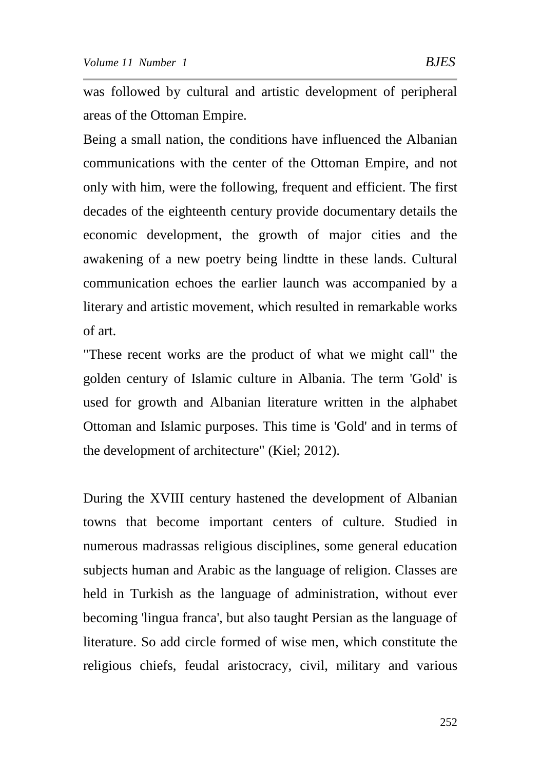was followed by cultural and artistic development of peripheral areas of the Ottoman Empire.

Being a small nation, the conditions have influenced the Albanian communications with the center of the Ottoman Empire, and not only with him, were the following, frequent and efficient. The first decades of the eighteenth century provide documentary details the economic development, the growth of major cities and the awakening of a new poetry being lindtte in these lands. Cultural communication echoes the earlier launch was accompanied by a literary and artistic movement, which resulted in remarkable works of art.

"These recent works are the product of what we might call" the golden century of Islamic culture in Albania. The term 'Gold' is used for growth and Albanian literature written in the alphabet Ottoman and Islamic purposes. This time is 'Gold' and in terms of the development of architecture" (Kiel; 2012).

During the XVIII century hastened the development of Albanian towns that become important centers of culture. Studied in numerous madrassas religious disciplines, some general education subjects human and Arabic as the language of religion. Classes are held in Turkish as the language of administration, without ever becoming 'lingua franca', but also taught Persian as the language of literature. So add circle formed of wise men, which constitute the religious chiefs, feudal aristocracy, civil, military and various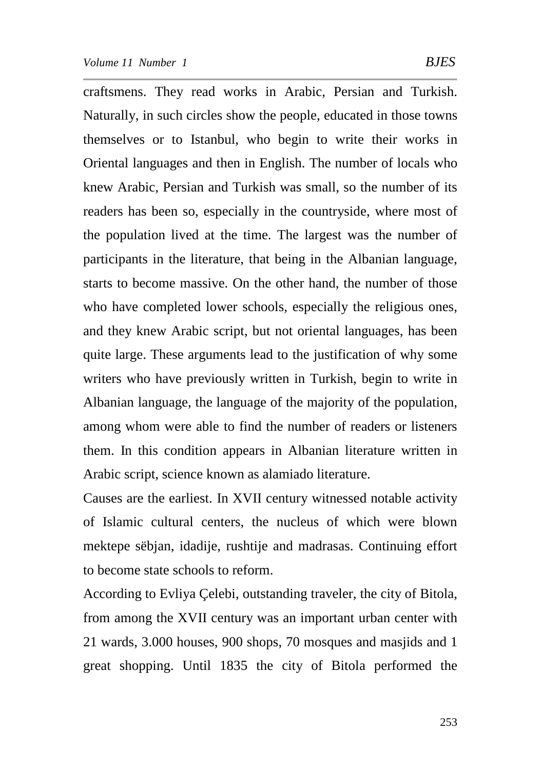craftsmens. They read works in Arabic, Persian and Turkish. Naturally, in such circles show the people, educated in those towns themselves or to Istanbul, who begin to write their works in Oriental languages and then in English. The number of locals who knew Arabic, Persian and Turkish was small, so the number of its readers has been so, especially in the countryside, where most of the population lived at the time. The largest was the number of participants in the literature, that being in the Albanian language, starts to become massive. On the other hand, the number of those who have completed lower schools, especially the religious ones, and they knew Arabic script, but not oriental languages, has been quite large. These arguments lead to the justification of why some writers who have previously written in Turkish, begin to write in Albanian language, the language of the majority of the population, among whom were able to find the number of readers or listeners them. In this condition appears in Albanian literature written in Arabic script, science known as alamiado literature.

Causes are the earliest. In XVII century witnessed notable activity of Islamic cultural centers, the nucleus of which were blown mektepe sëbjan, idadije, rushtije and madrasas. Continuing effort to become state schools to reform.

According to Evliya Çelebi, outstanding traveler, the city of Bitola, from among the XVII century was an important urban center with 21 wards, 3.000 houses, 900 shops, 70 mosques and masjids and 1 great shopping. Until 1835 the city of Bitola performed the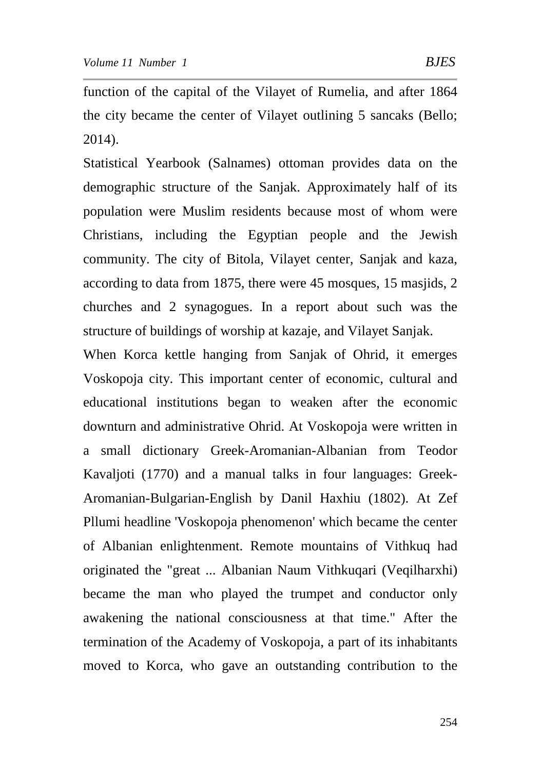function of the capital of the Vilayet of Rumelia, and after 1864 the city became the center of Vilayet outlining 5 sancaks (Bello; 2014).

Statistical Yearbook (Salnames) ottoman provides data on the demographic structure of the Sanjak. Approximately half of its population were Muslim residents because most of whom were Christians, including the Egyptian people and the Jewish community. The city of Bitola, Vilayet center, Sanjak and kaza, according to data from 1875, there were 45 mosques, 15 masjids, 2 churches and 2 synagogues. In a report about such was the structure of buildings of worship at kazaje, and Vilayet Sanjak.

When Korca kettle hanging from Sanjak of Ohrid, it emerges Voskopoja city. This important center of economic, cultural and educational institutions began to weaken after the economic downturn and administrative Ohrid. At Voskopoja were written in a small dictionary Greek-Aromanian-Albanian from Teodor Kavaljoti (1770) and a manual talks in four languages: Greek-Aromanian-Bulgarian-English by Danil Haxhiu (1802). At Zef Pllumi headline 'Voskopoja phenomenon' which became the center of Albanian enlightenment. Remote mountains of Vithkuq had originated the "great ... Albanian Naum Vithkuqari (Veqilharxhi) became the man who played the trumpet and conductor only awakening the national consciousness at that time." After the termination of the Academy of Voskopoja, a part of its inhabitants moved to Korca, who gave an outstanding contribution to the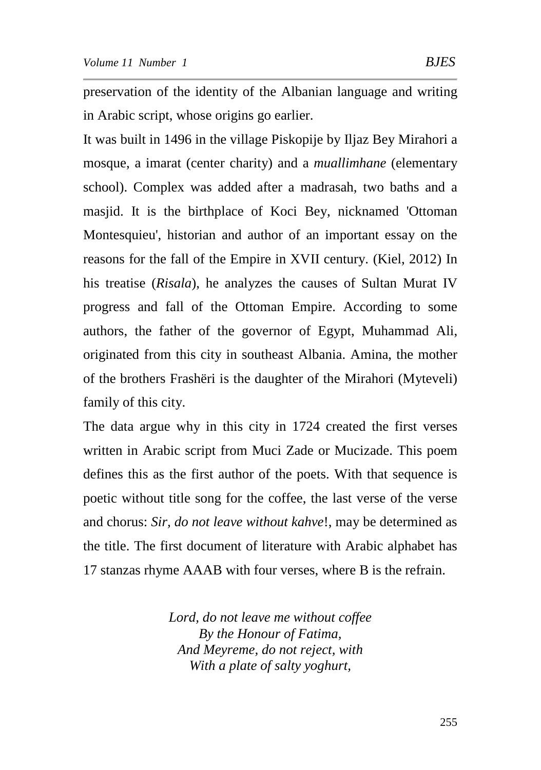preservation of the identity of the Albanian language and writing in Arabic script, whose origins go earlier.

It was built in 1496 in the village Piskopije by Iljaz Bey Mirahori a mosque, a imarat (center charity) and a *muallimhane* (elementary school). Complex was added after a madrasah, two baths and a masjid. It is the birthplace of Koci Bey, nicknamed 'Ottoman Montesquieu', historian and author of an important essay on the reasons for the fall of the Empire in XVII century. (Kiel, 2012) In his treatise (*Risala*), he analyzes the causes of Sultan Murat IV progress and fall of the Ottoman Empire. According to some authors, the father of the governor of Egypt, Muhammad Ali, originated from this city in southeast Albania. Amina, the mother of the brothers Frashëri is the daughter of the Mirahori (Myteveli) family of this city.

The data argue why in this city in 1724 created the first verses written in Arabic script from Muci Zade or Mucizade. This poem defines this as the first author of the poets. With that sequence is poetic without title song for the coffee, the last verse of the verse and chorus: *Sir, do not leave without kahve*!, may be determined as the title. The first document of literature with Arabic alphabet has 17 stanzas rhyme AAAB with four verses, where B is the refrain.

> *Lord, do not leave me without coffee By the Honour of Fatima, And Meyreme, do not reject, with With a plate of salty yoghurt,*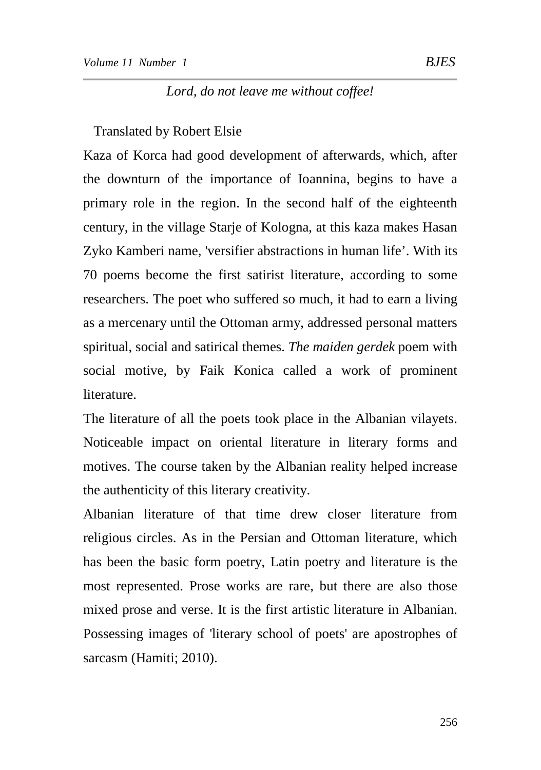#### *Lord, do not leave me without coffee!*

Translated by Robert Elsie

Kaza of Korca had good development of afterwards, which, after the downturn of the importance of Ioannina, begins to have a primary role in the region. In the second half of the eighteenth century, in the village Starje of Kologna, at this kaza makes Hasan Zyko Kamberi name, 'versifier abstractions in human life'. With its 70 poems become the first satirist literature, according to some researchers. The poet who suffered so much, it had to earn a living as a mercenary until the Ottoman army, addressed personal matters spiritual, social and satirical themes. *The maiden gerdek* poem with social motive, by Faik Konica called a work of prominent literature.

The literature of all the poets took place in the Albanian vilayets. Noticeable impact on oriental literature in literary forms and motives. The course taken by the Albanian reality helped increase the authenticity of this literary creativity.

Albanian literature of that time drew closer literature from religious circles. As in the Persian and Ottoman literature, which has been the basic form poetry, Latin poetry and literature is the most represented. Prose works are rare, but there are also those mixed prose and verse. It is the first artistic literature in Albanian. Possessing images of 'literary school of poets' are apostrophes of sarcasm (Hamiti; 2010).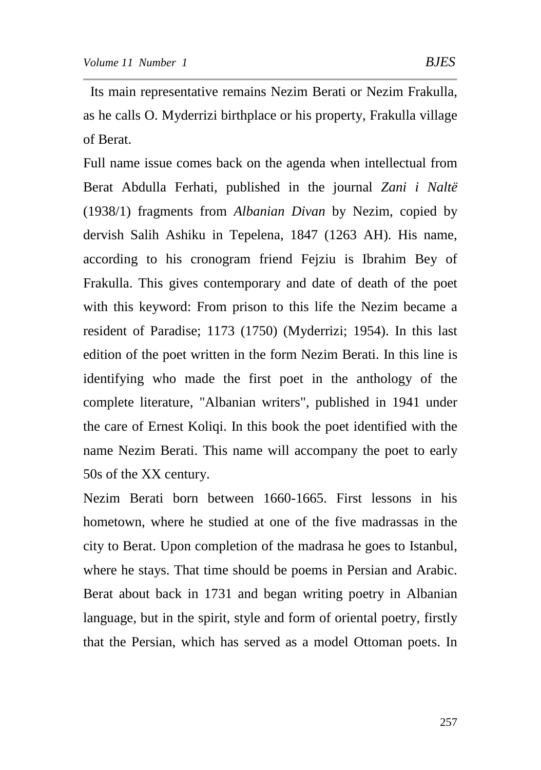Its main representative remains Nezim Berati or Nezim Frakulla, as he calls O. Myderrizi birthplace or his property, Frakulla village of Berat.

Full name issue comes back on the agenda when intellectual from Berat Abdulla Ferhati, published in the journal *Zani i Naltë* (1938/1) fragments from *Albanian Divan* by Nezim, copied by dervish Salih Ashiku in Tepelena, 1847 (1263 AH). His name, according to his cronogram friend Fejziu is Ibrahim Bey of Frakulla. This gives contemporary and date of death of the poet with this keyword: From prison to this life the Nezim became a resident of Paradise; 1173 (1750) (Myderrizi; 1954). In this last edition of the poet written in the form Nezim Berati. In this line is identifying who made the first poet in the anthology of the complete literature, "Albanian writers", published in 1941 under the care of Ernest Koliqi. In this book the poet identified with the name Nezim Berati. This name will accompany the poet to early 50s of the XX century.

Nezim Berati born between 1660-1665. First lessons in his hometown, where he studied at one of the five madrassas in the city to Berat. Upon completion of the madrasa he goes to Istanbul, where he stays. That time should be poems in Persian and Arabic. Berat about back in 1731 and began writing poetry in Albanian language, but in the spirit, style and form of oriental poetry, firstly that the Persian, which has served as a model Ottoman poets. In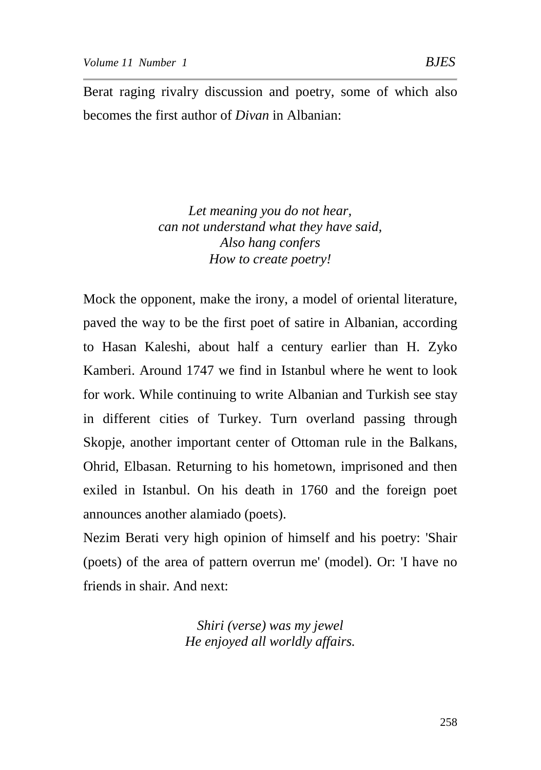Berat raging rivalry discussion and poetry, some of which also becomes the first author of *Divan* in Albanian:

> *Let meaning you do not hear, can not understand what they have said, Also hang confers How to create poetry!*

Mock the opponent, make the irony, a model of oriental literature, paved the way to be the first poet of satire in Albanian, according to Hasan Kaleshi, about half a century earlier than H. Zyko Kamberi. Around 1747 we find in Istanbul where he went to look for work. While continuing to write Albanian and Turkish see stay in different cities of Turkey. Turn overland passing through Skopje, another important center of Ottoman rule in the Balkans, Ohrid, Elbasan. Returning to his hometown, imprisoned and then exiled in Istanbul. On his death in 1760 and the foreign poet announces another alamiado (poets).

Nezim Berati very high opinion of himself and his poetry: 'Shair (poets) of the area of pattern overrun me' (model). Or: 'I have no friends in shair. And next:

> *Shiri (verse) was my jewel He enjoyed all worldly affairs.*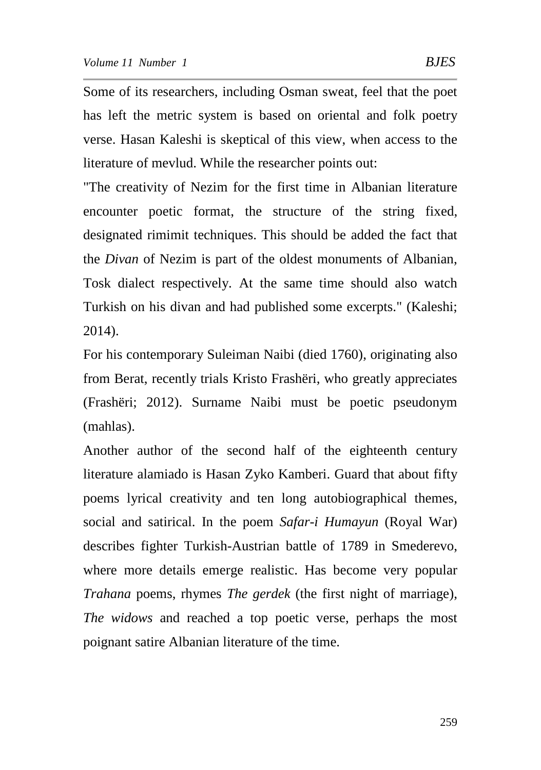Some of its researchers, including Osman sweat, feel that the poet has left the metric system is based on oriental and folk poetry verse. Hasan Kaleshi is skeptical of this view, when access to the literature of mevlud. While the researcher points out:

"The creativity of Nezim for the first time in Albanian literature encounter poetic format, the structure of the string fixed, designated rimimit techniques. This should be added the fact that the *Divan* of Nezim is part of the oldest monuments of Albanian, Tosk dialect respectively. At the same time should also watch Turkish on his divan and had published some excerpts." (Kaleshi; 2014).

For his contemporary Suleiman Naibi (died 1760), originating also from Berat, recently trials Kristo Frashëri, who greatly appreciates (Frashëri; 2012). Surname Naibi must be poetic pseudonym (mahlas).

Another author of the second half of the eighteenth century literature alamiado is Hasan Zyko Kamberi. Guard that about fifty poems lyrical creativity and ten long autobiographical themes, social and satirical. In the poem *Safar-i Humayun* (Royal War) describes fighter Turkish-Austrian battle of 1789 in Smederevo, where more details emerge realistic. Has become very popular *Trahana* poems, rhymes *The gerdek* (the first night of marriage), *The widows* and reached a top poetic verse, perhaps the most poignant satire Albanian literature of the time.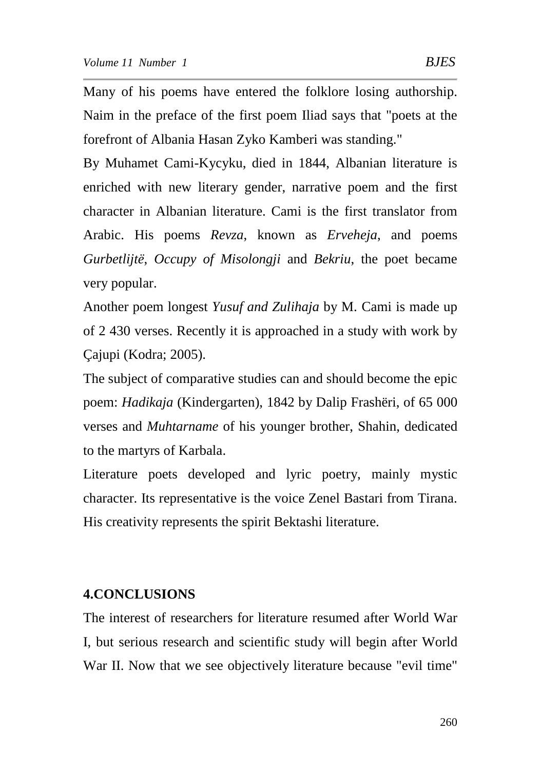Many of his poems have entered the folklore losing authorship. Naim in the preface of the first poem Iliad says that "poets at the forefront of Albania Hasan Zyko Kamberi was standing."

By Muhamet Cami-Kycyku, died in 1844, Albanian literature is enriched with new literary gender, narrative poem and the first character in Albanian literature. Cami is the first translator from Arabic. His poems *Revza*, known as *Erveheja*, and poems *Gurbetlijtë*, *Occupy of Misolongji* and *Bekriu*, the poet became very popular.

Another poem longest *Yusuf and Zulihaja* by M. Cami is made up of 2 430 verses. Recently it is approached in a study with work by Çajupi (Kodra; 2005).

The subject of comparative studies can and should become the epic poem: *Hadikaja* (Kindergarten), 1842 by Dalip Frashëri, of 65 000 verses and *Muhtarname* of his younger brother, Shahin, dedicated to the martyrs of Karbala.

Literature poets developed and lyric poetry, mainly mystic character. Its representative is the voice Zenel Bastari from Tirana. His creativity represents the spirit Bektashi literature.

## **4.CONCLUSIONS**

The interest of researchers for literature resumed after World War I, but serious research and scientific study will begin after World War II. Now that we see objectively literature because "evil time"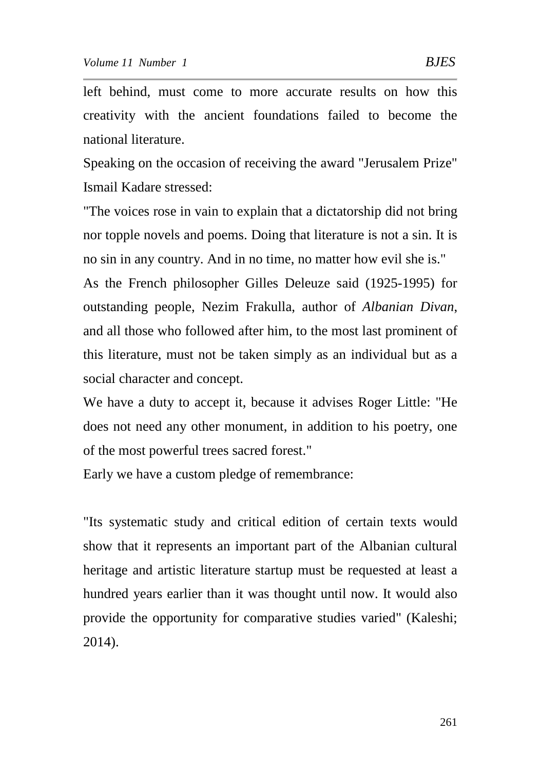left behind, must come to more accurate results on how this creativity with the ancient foundations failed to become the national literature.

Speaking on the occasion of receiving the award "Jerusalem Prize" Ismail Kadare stressed:

"The voices rose in vain to explain that a dictatorship did not bring nor topple novels and poems. Doing that literature is not a sin. It is no sin in any country. And in no time, no matter how evil she is."

As the French philosopher Gilles Deleuze said (1925-1995) for outstanding people, Nezim Frakulla, author of *Albanian Divan*, and all those who followed after him, to the most last prominent of this literature, must not be taken simply as an individual but as a social character and concept.

We have a duty to accept it, because it advises Roger Little: "He does not need any other monument, in addition to his poetry, one of the most powerful trees sacred forest."

Early we have a custom pledge of remembrance:

"Its systematic study and critical edition of certain texts would show that it represents an important part of the Albanian cultural heritage and artistic literature startup must be requested at least a hundred years earlier than it was thought until now. It would also provide the opportunity for comparative studies varied" (Kaleshi; 2014).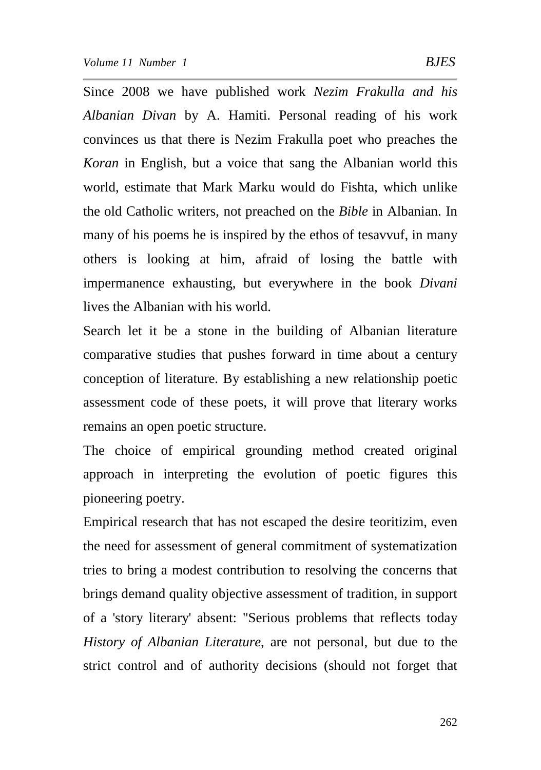Since 2008 we have published work *Nezim Frakulla and his Albanian Divan* by A. Hamiti. Personal reading of his work convinces us that there is Nezim Frakulla poet who preaches the *Koran* in English, but a voice that sang the Albanian world this world, estimate that Mark Marku would do Fishta, which unlike the old Catholic writers, not preached on the *Bible* in Albanian. In many of his poems he is inspired by the ethos of tesavvuf, in many others is looking at him, afraid of losing the battle with impermanence exhausting, but everywhere in the book *Divani* lives the Albanian with his world.

Search let it be a stone in the building of Albanian literature comparative studies that pushes forward in time about a century conception of literature. By establishing a new relationship poetic assessment code of these poets, it will prove that literary works remains an open poetic structure.

The choice of empirical grounding method created original approach in interpreting the evolution of poetic figures this pioneering poetry.

Empirical research that has not escaped the desire teoritizim, even the need for assessment of general commitment of systematization tries to bring a modest contribution to resolving the concerns that brings demand quality objective assessment of tradition, in support of a 'story literary' absent: "Serious problems that reflects today *History of Albanian Literature*, are not personal, but due to the strict control and of authority decisions (should not forget that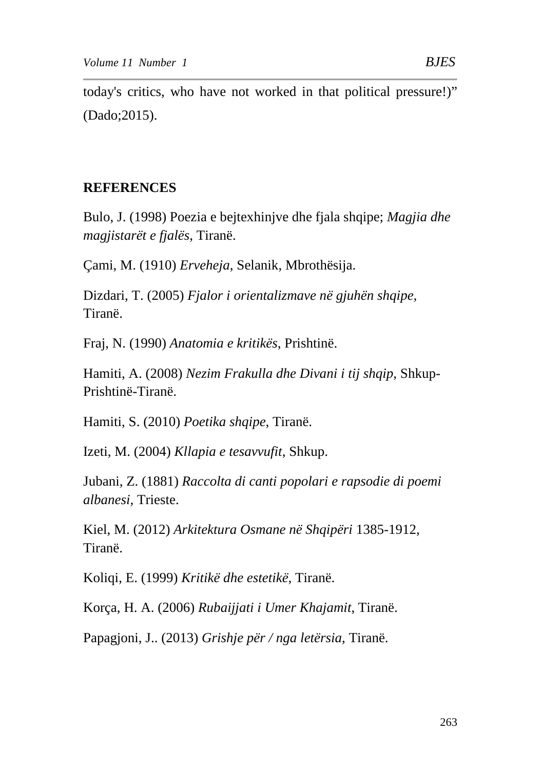today's critics, who have not worked in that political pressure!)" (Dado;2015).

### **REFERENCES**

Bulo, J. (1998) Poezia e bejtexhinjve dhe fjala shqipe; *Magjia dhe magjistarët e fjalës*, Tiranë.

Çami, M. (1910) *Erveheja*, Selanik, Mbrothësija.

Dizdari, T. (2005) *Fjalor i orientalizmave në gjuhën shqipe,* Tiranë.

Fraj, N. (1990) *Anatomia e kritikës*, Prishtinë.

Hamiti, A. (2008) *Nezim Frakulla dhe Divani i tij shqip*, Shkup-Prishtinë-Tiranë.

Hamiti, S. (2010) *Poetika shqipe*, Tiranë.

Izeti, M. (2004) *Kllapia e tesavvufit*, Shkup.

Jubani, Z. (1881) *Raccolta di canti popolari e rapsodie di poemi albanesi,* Trieste.

Kiel, M. (2012) *Arkitektura Osmane në Shqipëri* 1385-1912, Tiranë.

Koliqi, E. (1999) *Kritikë dhe estetikë*, Tiranë.

Korça, H. A. (2006) *Rubaijjati i Umer Khajamit*, Tiranë.

Papagjoni, J.. (2013) *Grishje për / nga letërsia*, Tiranë.